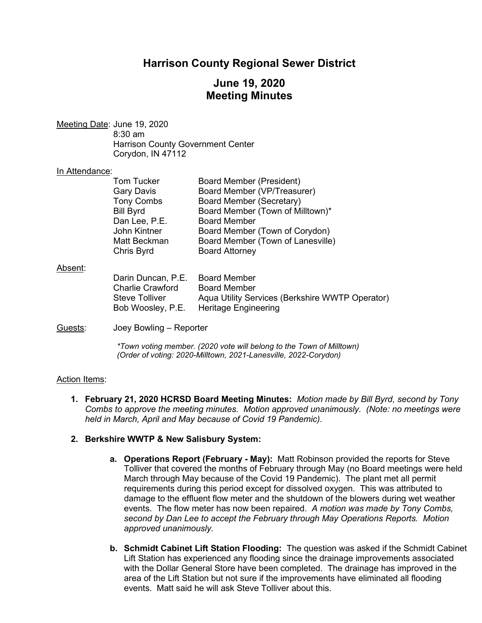## **Harrison County Regional Sewer District**

# **June 19, 2020 Meeting Minutes**

Meeting Date: June 19, 2020 8:30 am Harrison County Government Center Corydon, IN 47112

#### In Attendance:

| <b>Tom Tucker</b> | <b>Board Member (President)</b>   |
|-------------------|-----------------------------------|
| <b>Gary Davis</b> | Board Member (VP/Treasurer)       |
| <b>Tony Combs</b> | <b>Board Member (Secretary)</b>   |
| <b>Bill Byrd</b>  | Board Member (Town of Milltown)*  |
| Dan Lee, P.E.     | <b>Board Member</b>               |
| John Kintner      | Board Member (Town of Corydon)    |
| Matt Beckman      | Board Member (Town of Lanesville) |
| Chris Byrd        | <b>Board Attorney</b>             |

#### Absent:

| Darin Duncan, P.E.      | Board Member                                    |
|-------------------------|-------------------------------------------------|
| <b>Charlie Crawford</b> | <b>Board Member</b>                             |
| Steve Tolliver          | Aqua Utility Services (Berkshire WWTP Operator) |
| Bob Woosley, P.E.       | Heritage Engineering                            |

#### Guests: Joey Bowling – Reporter

*\*Town voting member. (2020 vote will belong to the Town of Milltown) (Order of voting: 2020-Milltown, 2021-Lanesville, 2022-Corydon)* 

## Action Items:

**1. February 21, 2020 HCRSD Board Meeting Minutes:** *Motion made by Bill Byrd, second by Tony Combs to approve the meeting minutes. Motion approved unanimously. (Note: no meetings were held in March, April and May because of Covid 19 Pandemic).*

## **2. Berkshire WWTP & New Salisbury System:**

- **a. Operations Report (February May):** Matt Robinson provided the reports for Steve Tolliver that covered the months of February through May (no Board meetings were held March through May because of the Covid 19 Pandemic). The plant met all permit requirements during this period except for dissolved oxygen. This was attributed to damage to the effluent flow meter and the shutdown of the blowers during wet weather events. The flow meter has now been repaired. *A motion was made by Tony Combs, second by Dan Lee to accept the February through May Operations Reports. Motion approved unanimously.*
- **b. Schmidt Cabinet Lift Station Flooding:** The question was asked if the Schmidt Cabinet Lift Station has experienced any flooding since the drainage improvements associated with the Dollar General Store have been completed. The drainage has improved in the area of the Lift Station but not sure if the improvements have eliminated all flooding events. Matt said he will ask Steve Tolliver about this.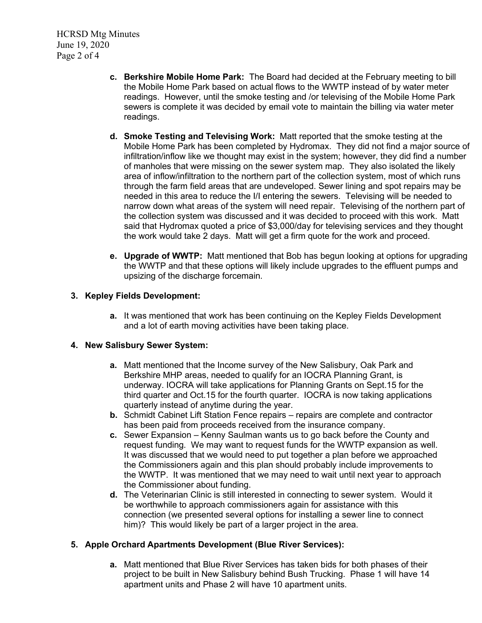HCRSD Mtg Minutes June 19, 2020 Page 2 of 4

- **c. Berkshire Mobile Home Park:** The Board had decided at the February meeting to bill the Mobile Home Park based on actual flows to the WWTP instead of by water meter readings. However, until the smoke testing and /or televising of the Mobile Home Park sewers is complete it was decided by email vote to maintain the billing via water meter readings.
- **d. Smoke Testing and Televising Work:** Matt reported that the smoke testing at the Mobile Home Park has been completed by Hydromax. They did not find a major source of infiltration/inflow like we thought may exist in the system; however, they did find a number of manholes that were missing on the sewer system map. They also isolated the likely area of inflow/infiltration to the northern part of the collection system, most of which runs through the farm field areas that are undeveloped. Sewer lining and spot repairs may be needed in this area to reduce the I/I entering the sewers. Televising will be needed to narrow down what areas of the system will need repair. Televising of the northern part of the collection system was discussed and it was decided to proceed with this work. Matt said that Hydromax quoted a price of \$3,000/day for televising services and they thought the work would take 2 days. Matt will get a firm quote for the work and proceed.
- **e. Upgrade of WWTP:** Matt mentioned that Bob has begun looking at options for upgrading the WWTP and that these options will likely include upgrades to the effluent pumps and upsizing of the discharge forcemain.

## **3. Kepley Fields Development:**

**a.** It was mentioned that work has been continuing on the Kepley Fields Development and a lot of earth moving activities have been taking place.

## **4. New Salisbury Sewer System:**

- **a.** Matt mentioned that the Income survey of the New Salisbury, Oak Park and Berkshire MHP areas, needed to qualify for an IOCRA Planning Grant, is underway. IOCRA will take applications for Planning Grants on Sept.15 for the third quarter and Oct.15 for the fourth quarter. IOCRA is now taking applications quarterly instead of anytime during the year.
- **b.** Schmidt Cabinet Lift Station Fence repairs repairs are complete and contractor has been paid from proceeds received from the insurance company.
- **c.** Sewer Expansion Kenny Saulman wants us to go back before the County and request funding. We may want to request funds for the WWTP expansion as well. It was discussed that we would need to put together a plan before we approached the Commissioners again and this plan should probably include improvements to the WWTP. It was mentioned that we may need to wait until next year to approach the Commissioner about funding.
- **d.** The Veterinarian Clinic is still interested in connecting to sewer system. Would it be worthwhile to approach commissioners again for assistance with this connection (we presented several options for installing a sewer line to connect him)? This would likely be part of a larger project in the area.

## **5. Apple Orchard Apartments Development (Blue River Services):**

**a.** Matt mentioned that Blue River Services has taken bids for both phases of their project to be built in New Salisbury behind Bush Trucking. Phase 1 will have 14 apartment units and Phase 2 will have 10 apartment units.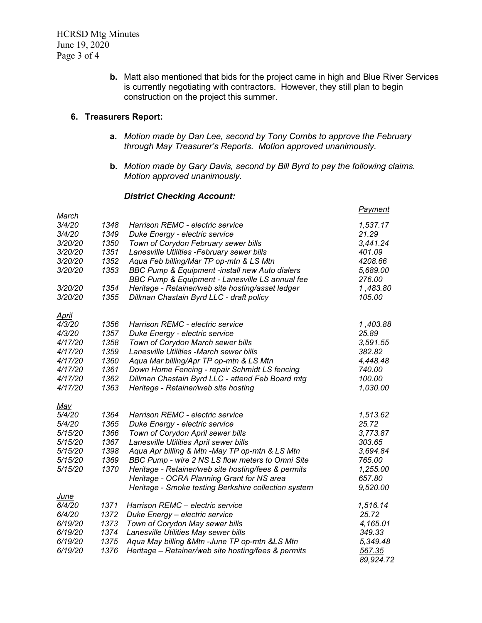**b.** Matt also mentioned that bids for the project came in high and Blue River Services is currently negotiating with contractors. However, they still plan to begin construction on the project this summer.

#### **6. Treasurers Report:**

- **a.** *Motion made by Dan Lee, second by Tony Combs to approve the February through May Treasurer's Reports. Motion approved unanimously.*
- **b.** *Motion made by Gary Davis, second by Bill Byrd to pay the following claims. Motion approved unanimously.*

#### *District Checking Account:*

| March                 |      |                                                      | <b>Payment</b> |
|-----------------------|------|------------------------------------------------------|----------------|
| 3/4/20                | 1348 | Harrison REMC - electric service                     | 1,537.17       |
| 3/4/20                | 1349 | Duke Energy - electric service                       | 21.29          |
| 3/20/20               | 1350 | Town of Corydon February sewer bills                 | 3,441.24       |
| 3/20/20               | 1351 | Lanesville Utilities -February sewer bills           | 401.09         |
| 3/20/20               | 1352 | Aqua Feb billing/Mar TP op-mtn & LS Mtn              | 4208.66        |
| 3/20/20               | 1353 | BBC Pump & Equipment -install new Auto dialers       | 5,689.00       |
|                       |      | BBC Pump & Equipment - Lanesville LS annual fee      | 276.00         |
| 3/20/20               | 1354 | Heritage - Retainer/web site hosting/asset ledger    | 1,483.80       |
| 3/20/20               | 1355 | Dillman Chastain Byrd LLC - draft policy             | 105.00         |
| <u>April</u>          |      |                                                      |                |
| 4/3/20                | 1356 | Harrison REMC - electric service                     | 1,403.88       |
| 4/3/20                | 1357 | Duke Energy - electric service                       | 25.89          |
| 4/17/20               | 1358 | Town of Corydon March sewer bills                    | 3,591.55       |
| 4/17/20               | 1359 | Lanesville Utilities -March sewer bills              | 382.82         |
| 4/17/20               | 1360 | Aqua Mar billing/Apr TP op-mtn & LS Mtn              | 4,448.48       |
| 4/17/20               | 1361 | Down Home Fencing - repair Schmidt LS fencing        | 740.00         |
| 4/17/20               | 1362 | Dillman Chastain Byrd LLC - attend Feb Board mtg     | 100.00         |
| 4/17/20               | 1363 | Heritage - Retainer/web site hosting                 | 1,030.00       |
| <u>May</u>            |      |                                                      |                |
| 5/4/20                | 1364 | Harrison REMC - electric service                     | 1,513.62       |
| 5/4/20                | 1365 | Duke Energy - electric service                       | 25.72          |
| 5/15/20               | 1366 | Town of Corydon April sewer bills                    | 3,773.87       |
| 5/15/20               | 1367 | Lanesville Utilities April sewer bills               | 303.65         |
| 5/15/20               | 1398 | Aqua Apr billing & Mtn -May TP op-mtn & LS Mtn       | 3,694.84       |
| 5/15/20               | 1369 | BBC Pump - wire 2 NS LS flow meters to Omni Site     | 765.00         |
| 5/15/20               | 1370 | Heritage - Retainer/web site hosting/fees & permits  | 1,255.00       |
|                       |      | Heritage - OCRA Planning Grant for NS area           | 657.80         |
|                       |      | Heritage - Smoke testing Berkshire collection system | 9,520.00       |
| <u>June</u><br>6/4/20 | 1371 | Harrison REMC - electric service                     | 1,516.14       |
| 6/4/20                | 1372 | Duke Energy - electric service                       | 25.72          |
| 6/19/20               | 1373 | Town of Corydon May sewer bills                      | 4,165.01       |
| 6/19/20               | 1374 | Lanesville Utilities May sewer bills                 | 349.33         |
| 6/19/20               | 1375 | Aqua May billing & Mtn - June TP op-mtn & LS Mtn     | 5,349.48       |
| 6/19/20               | 1376 | Heritage - Retainer/web site hosting/fees & permits  | 567.35         |
|                       |      |                                                      | 89.924.72      |